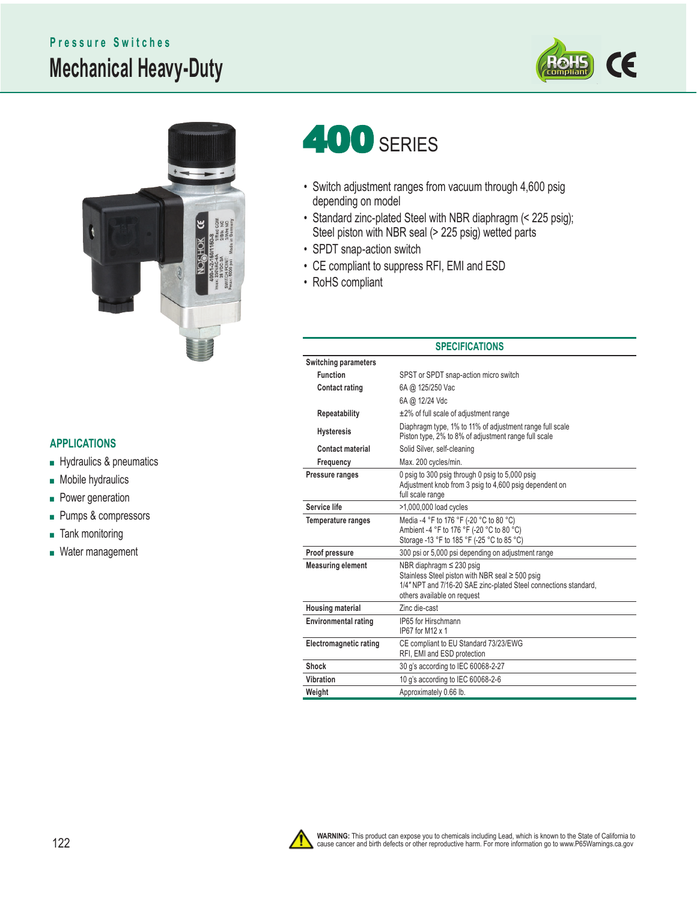## **Mechanical Heavy-Duty Pressure Switches**





# 400 SERIES

- Switch adjustment ranges from vacuum through 4,600 psig depending on model
- Standard zinc-plated Steel with NBR diaphragm (< 225 psig); Steel piston with NBR seal (> 225 psig) wetted parts
- SPDT snap-action switch
- CE compliant to suppress RFI, EMI and ESD
- RoHS compliant

| <b>SPECIFICATIONS</b>         |                                                                                                                                                                                     |  |  |  |
|-------------------------------|-------------------------------------------------------------------------------------------------------------------------------------------------------------------------------------|--|--|--|
| <b>Switching parameters</b>   |                                                                                                                                                                                     |  |  |  |
| <b>Function</b>               | SPST or SPDT snap-action micro switch                                                                                                                                               |  |  |  |
| <b>Contact rating</b>         | 6A @ 125/250 Vac                                                                                                                                                                    |  |  |  |
|                               | 6A @ 12/24 Vdc                                                                                                                                                                      |  |  |  |
| Repeatability                 | $\pm$ 2% of full scale of adjustment range                                                                                                                                          |  |  |  |
| <b>Hysteresis</b>             | Diaphragm type, 1% to 11% of adjustment range full scale<br>Piston type, 2% to 8% of adjustment range full scale                                                                    |  |  |  |
| <b>Contact material</b>       | Solid Silver, self-cleaning                                                                                                                                                         |  |  |  |
| Frequency                     | Max. 200 cycles/min.                                                                                                                                                                |  |  |  |
| Pressure ranges               | 0 psig to 300 psig through 0 psig to 5,000 psig<br>Adjustment knob from 3 psig to 4,600 psig dependent on<br>full scale range                                                       |  |  |  |
| Service life                  | >1,000,000 load cycles                                                                                                                                                              |  |  |  |
| Temperature ranges            | Media -4 °F to 176 °F (-20 °C to 80 °C)<br>Ambient -4 °F to 176 °F (-20 °C to 80 °C)<br>Storage -13 °F to 185 °F (-25 °C to 85 °C)                                                  |  |  |  |
| Proof pressure                | 300 psi or 5,000 psi depending on adjustment range                                                                                                                                  |  |  |  |
| <b>Measuring element</b>      | NBR diaphragm $\leq$ 230 psig<br>Stainless Steel piston with NBR seal ≥ 500 psig<br>1/4" NPT and 7/16-20 SAE zinc-plated Steel connections standard,<br>others available on request |  |  |  |
| <b>Housing material</b>       | Zinc die-cast                                                                                                                                                                       |  |  |  |
| <b>Environmental rating</b>   | IP65 for Hirschmann<br>IP67 for M12 x 1                                                                                                                                             |  |  |  |
| <b>Electromagnetic rating</b> | CE compliant to EU Standard 73/23/EWG<br>RFI, EMI and ESD protection                                                                                                                |  |  |  |
| Shock                         | 30 q's according to IEC 60068-2-27                                                                                                                                                  |  |  |  |
| Vibration                     | 10 g's according to IEC 60068-2-6                                                                                                                                                   |  |  |  |
| Weight                        | Approximately 0.66 lb.                                                                                                                                                              |  |  |  |



- Mobile hydraulics
- Power generation
- Pumps & compressors
- Tank monitoring
- Water management

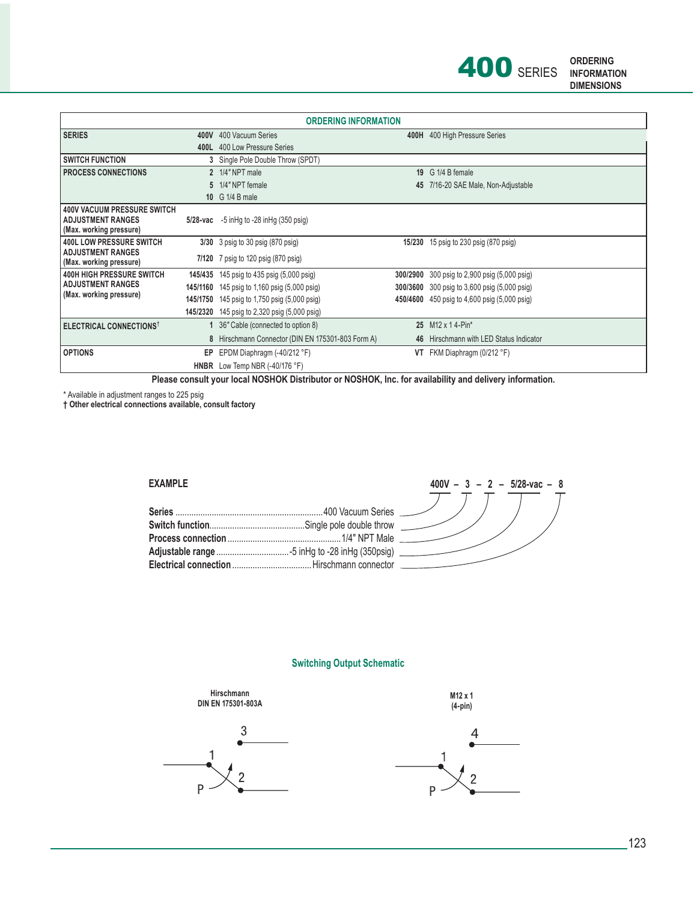

| <b>ORDERING INFORMATION</b>                                 |          |                                                 |  |                                              |  |  |
|-------------------------------------------------------------|----------|-------------------------------------------------|--|----------------------------------------------|--|--|
| <b>SERIES</b>                                               | 400V     | 400 Vacuum Series                               |  | 400H 400 High Pressure Series                |  |  |
|                                                             | 400L     | 400 Low Pressure Series                         |  |                                              |  |  |
| <b>SWITCH FUNCTION</b>                                      |          | 3 Single Pole Double Throw (SPDT)               |  |                                              |  |  |
| <b>PROCESS CONNECTIONS</b>                                  |          | 2 1/4" NPT male                                 |  | <b>19</b> G 1/4 B female                     |  |  |
|                                                             |          | 5 1/4" NPT female                               |  | 45 7/16-20 SAE Male, Non-Adjustable          |  |  |
|                                                             |          | 10 G 1/4 B male                                 |  |                                              |  |  |
| <b>400V VACUUM PRESSURE SWITCH</b>                          |          |                                                 |  |                                              |  |  |
| <b>ADJUSTMENT RANGES</b>                                    |          | 5/28-vac -5 in Hg to -28 in Hg (350 psig)       |  |                                              |  |  |
| (Max. working pressure)                                     |          |                                                 |  |                                              |  |  |
| <b>400L LOW PRESSURE SWITCH</b><br><b>ADJUSTMENT RANGES</b> |          | 3/30 3 psig to 30 psig (870 psig)               |  | 15/230 15 psig to 230 psig (870 psig)        |  |  |
| (Max. working pressure)                                     |          | 7/120 7 psig to 120 psig (870 psig)             |  |                                              |  |  |
| <b>400H HIGH PRESSURE SWITCH</b>                            | 145/435  | 145 psig to 435 psig (5,000 psig)               |  | 300/2900 300 psig to 2,900 psig (5,000 psig) |  |  |
| <b>ADJUSTMENT RANGES</b>                                    | 145/1160 | 145 psig to 1,160 psig (5,000 psig)             |  | 300/3600 300 psig to 3,600 psig (5,000 psig) |  |  |
| (Max. working pressure)                                     | 145/1750 | 145 psig to 1,750 psig (5,000 psig)             |  | 450/4600 450 psig to 4,600 psig (5,000 psig) |  |  |
|                                                             |          | 145/2320 145 psig to 2,320 psig (5,000 psig)    |  |                                              |  |  |
| <b>ELECTRICAL CONNECTIONS</b>                               |          | 36" Cable (connected to option 8)               |  | 25 M12 x 1 4-Pin*                            |  |  |
|                                                             | 8        | Hirschmann Connector (DIN EN 175301-803 Form A) |  | 46 Hirschmann with LED Status Indicator      |  |  |
| <b>OPTIONS</b>                                              | EP       | EPDM Diaphragm (-40/212 °F)                     |  | <b>VT</b> FKM Diaphragm $(0/212 \degree F)$  |  |  |
|                                                             |          | <b>HNBR</b> Low Temp NBR $(-40/176 \degree F)$  |  |                                              |  |  |
|                                                             |          |                                                 |  |                                              |  |  |

 **Please consult your local NOSHOK Distributor or NOSHOK, Inc. for availability and delivery information.**

\* Available in adjustment ranges to 225 psig

**† Other electrical connections available, consult factory**

#### **EXAMPLE**



#### **Switching Output Schematic**

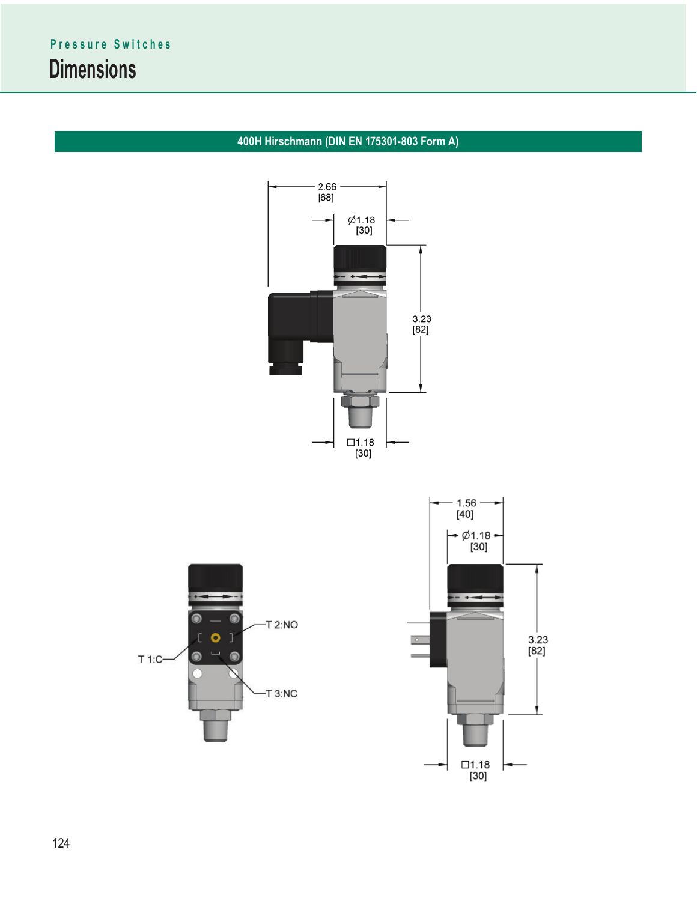### **400H Hirschmann (DIN EN 175301-803 Form A)**